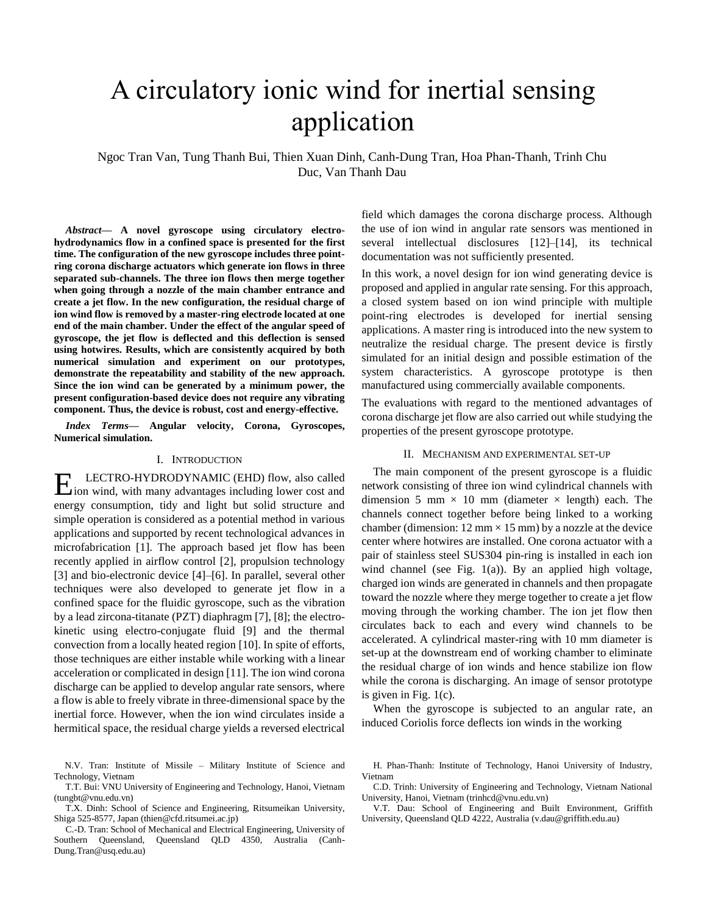# A circulatory ionic wind for inertial sensing application

Ngoc Tran Van, Tung Thanh Bui, Thien Xuan Dinh, Canh-Dung Tran, Hoa Phan-Thanh, Trinh Chu Duc, Van Thanh Dau

*Abstract***— A novel gyroscope using circulatory electrohydrodynamics flow in a confined space is presented for the first time. The configuration of the new gyroscope includes three pointring corona discharge actuators which generate ion flows in three separated sub-channels. The three ion flows then merge together when going through a nozzle of the main chamber entrance and create a jet flow. In the new configuration, the residual charge of ion wind flow is removed by a master-ring electrode located at one end of the main chamber. Under the effect of the angular speed of gyroscope, the jet flow is deflected and this deflection is sensed using hotwires. Results, which are consistently acquired by both numerical simulation and experiment on our prototypes, demonstrate the repeatability and stability of the new approach. Since the ion wind can be generated by a minimum power, the present configuration-based device does not require any vibrating component. Thus, the device is robust, cost and energy-effective.**

*Index Terms***— Angular velocity, Corona, Gyroscopes, Numerical simulation.** 

## I. INTRODUCTION

LECTRO-HYDRODYNAMIC (EHD) flow, also called **EXECTRO-HYDRODYNAMIC** (EHD) flow, also called ion wind, with many advantages including lower cost and energy consumption, tidy and light but solid structure and simple operation is considered as a potential method in various applications and supported by recent technological advances in microfabrication [1]. The approach based jet flow has been recently applied in airflow control [2], propulsion technology [3] and bio-electronic device [4]–[6]. In parallel, several other techniques were also developed to generate jet flow in a confined space for the fluidic gyroscope, such as the vibration by a lead zircona-titanate (PZT) diaphragm [7], [8]; the electrokinetic using electro-conjugate fluid [9] and the thermal convection from a locally heated region [10]. In spite of efforts, those techniques are either instable while working with a linear acceleration or complicated in design [11]. The ion wind corona discharge can be applied to develop angular rate sensors, where a flow is able to freely vibrate in three-dimensional space by the inertial force. However, when the ion wind circulates inside a hermitical space, the residual charge yields a reversed electrical

 N.V. Tran: Institute of Missile – Military Institute of Science and Technology, Vietnam

T.T. Bui: VNU University of Engineering and Technology, Hanoi, Vietnam (tungbt@vnu.edu.vn)

T.X. Dinh: School of Science and Engineering, Ritsumeikan University, Shiga 525-8577, Japan (thien@cfd.ritsumei.ac.jp)

C.-D. Tran: School of Mechanical and Electrical Engineering, University of Southern Queensland, Queensland QLD 4350, Australia (Canh-Dung.Tran@usq.edu.au)

field which damages the corona discharge process. Although the use of ion wind in angular rate sensors was mentioned in several intellectual disclosures [12]–[14], its technical documentation was not sufficiently presented.

In this work, a novel design for ion wind generating device is proposed and applied in angular rate sensing. For this approach, a closed system based on ion wind principle with multiple point-ring electrodes is developed for inertial sensing applications. A master ring is introduced into the new system to neutralize the residual charge. The present device is firstly simulated for an initial design and possible estimation of the system characteristics. A gyroscope prototype is then manufactured using commercially available components.

The evaluations with regard to the mentioned advantages of corona discharge jet flow are also carried out while studying the properties of the present gyroscope prototype.

## II. MECHANISM AND EXPERIMENTAL SET-UP

The main component of the present gyroscope is a fluidic network consisting of three ion wind cylindrical channels with dimension 5 mm  $\times$  10 mm (diameter  $\times$  length) each. The channels connect together before being linked to a working chamber (dimension:  $12 \text{ mm} \times 15 \text{ mm}$ ) by a nozzle at the device center where hotwires are installed. One corona actuator with a pair of stainless steel SUS304 pin-ring is installed in each ion wind channel (see Fig. 1(a)). By an applied high voltage, charged ion winds are generated in channels and then propagate toward the nozzle where they merge together to create a jet flow moving through the working chamber. The ion jet flow then circulates back to each and every wind channels to be accelerated. A cylindrical master-ring with 10 mm diameter is set-up at the downstream end of working chamber to eliminate the residual charge of ion winds and hence stabilize ion flow while the corona is discharging. An image of sensor prototype is given in Fig. 1(c).

When the gyroscope is subjected to an angular rate, an induced Coriolis force deflects ion winds in the working

C.D. Trinh: University of Engineering and Technology, Vietnam National University, Hanoi, Vietnam (trinhcd@vnu.edu.vn)

V.T. Dau: School of Engineering and Built Environment, Griffith University, Queensland QLD 4222, Australia (v.dau@griffith.edu.au)

H. Phan-Thanh: Institute of Technology, Hanoi University of Industry, Vietnam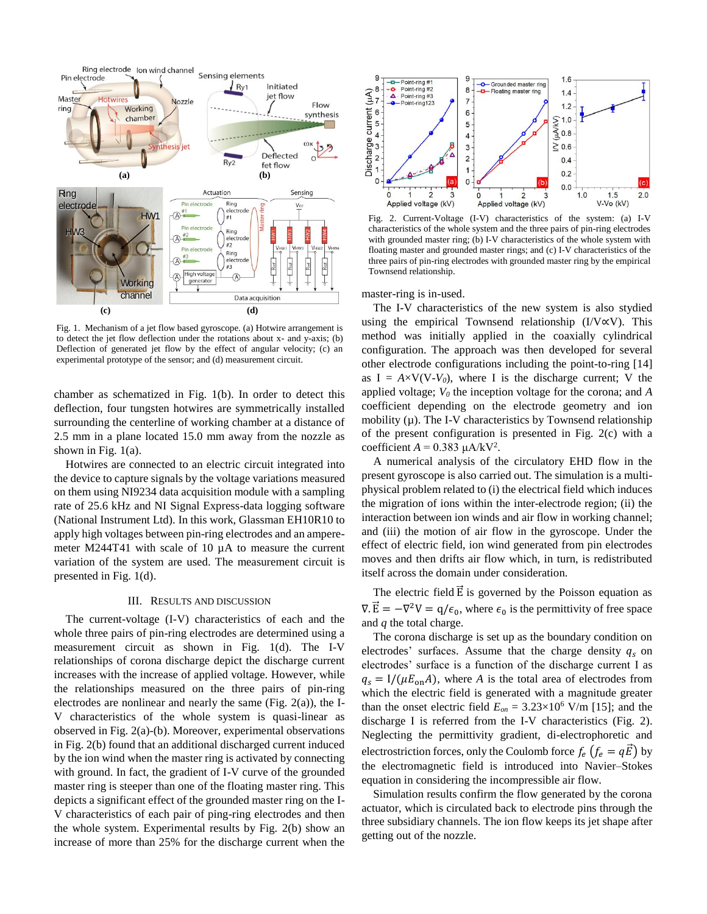

Fig. 1. Mechanism of a jet flow based gyroscope. (a) Hotwire arrangement is to detect the jet flow deflection under the rotations about x- and y-axis; (b) Deflection of generated jet flow by the effect of angular velocity; (c) an experimental prototype of the sensor; and (d) measurement circuit.

chamber as schematized in Fig. 1(b). In order to detect this deflection, four tungsten hotwires are symmetrically installed surrounding the centerline of working chamber at a distance of 2.5 mm in a plane located 15.0 mm away from the nozzle as shown in Fig. 1(a).

Hotwires are connected to an electric circuit integrated into the device to capture signals by the voltage variations measured on them using NI9234 data acquisition module with a sampling rate of 25.6 kHz and NI Signal Express-data logging software (National Instrument Ltd). In this work, Glassman EH10R10 to apply high voltages between pin-ring electrodes and an amperemeter M244T41 with scale of 10 µA to measure the current variation of the system are used. The measurement circuit is presented in Fig. 1(d).

#### III. RESULTS AND DISCUSSION

The current-voltage (I-V) characteristics of each and the whole three pairs of pin-ring electrodes are determined using a measurement circuit as shown in Fig. 1(d). The I-V relationships of corona discharge depict the discharge current increases with the increase of applied voltage. However, while the relationships measured on the three pairs of pin-ring electrodes are nonlinear and nearly the same (Fig. 2(a)), the I-V characteristics of the whole system is quasi-linear as observed in Fig. 2(a)-(b). Moreover, experimental observations in Fig. 2(b) found that an additional discharged current induced by the ion wind when the master ring is activated by connecting with ground. In fact, the gradient of I-V curve of the grounded master ring is steeper than one of the floating master ring. This depicts a significant effect of the grounded master ring on the I-V characteristics of each pair of ping-ring electrodes and then the whole system. Experimental results by Fig. 2(b) show an increase of more than 25% for the discharge current when the



Fig. 2. Current-Voltage (I-V) characteristics of the system: (a) I-V characteristics of the whole system and the three pairs of pin-ring electrodes with grounded master ring; (b) I-V characteristics of the whole system with floating master and grounded master rings; and (c) I-V characteristics of the three pairs of pin-ring electrodes with grounded master ring by the empirical Townsend relationship.

master-ring is in-used.

The I-V characteristics of the new system is also stydied using the empirical Townsend relationship (I/V∝V). This method was initially applied in the coaxially cylindrical configuration. The approach was then developed for several other electrode configurations including the point-to-ring [14] as  $I = A \times V(V-V_0)$ , where I is the discharge current; V the applied voltage; *V<sup>0</sup>* the inception voltage for the corona; and *A* coefficient depending on the electrode geometry and ion mobility  $(\mu)$ . The I-V characteristics by Townsend relationship of the present configuration is presented in Fig. 2(c) with a coefficient  $A = 0.383 \mu A/kV^2$ .

A numerical analysis of the circulatory EHD flow in the present gyroscope is also carried out. The simulation is a multiphysical problem related to (i) the electrical field which induces the migration of ions within the inter-electrode region; (ii) the interaction between ion winds and air flow in working channel; and (iii) the motion of air flow in the gyroscope. Under the effect of electric field, ion wind generated from pin electrodes moves and then drifts air flow which, in turn, is redistributed itself across the domain under consideration.

The electric field  $\vec{E}$  is governed by the Poisson equation as  $\nabla \cdot \vec{E} = -\nabla^2 V = q/\epsilon_0$ , where  $\epsilon_0$  is the permittivity of free space and *q* the total charge.

The corona discharge is set up as the boundary condition on electrodes' surfaces. Assume that the charge density  $q_s$  on electrodes' surface is a function of the discharge current I as  $q_s = I/(\mu E_{on}A)$ , where *A* is the total area of electrodes from which the electric field is generated with a magnitude greater than the onset electric field  $E_{on} = 3.23 \times 10^6$  V/m [15]; and the discharge I is referred from the I-V characteristics (Fig. 2). Neglecting the permittivity gradient, di-electrophoretic and electrostriction forces, only the Coulomb force  $f_e$   $(f_e = q\vec{E})$  by the electromagnetic field is introduced into Navier–Stokes equation in considering the incompressible air flow.

Simulation results confirm the flow generated by the corona actuator, which is circulated back to electrode pins through the three subsidiary channels. The ion flow keeps its jet shape after getting out of the nozzle.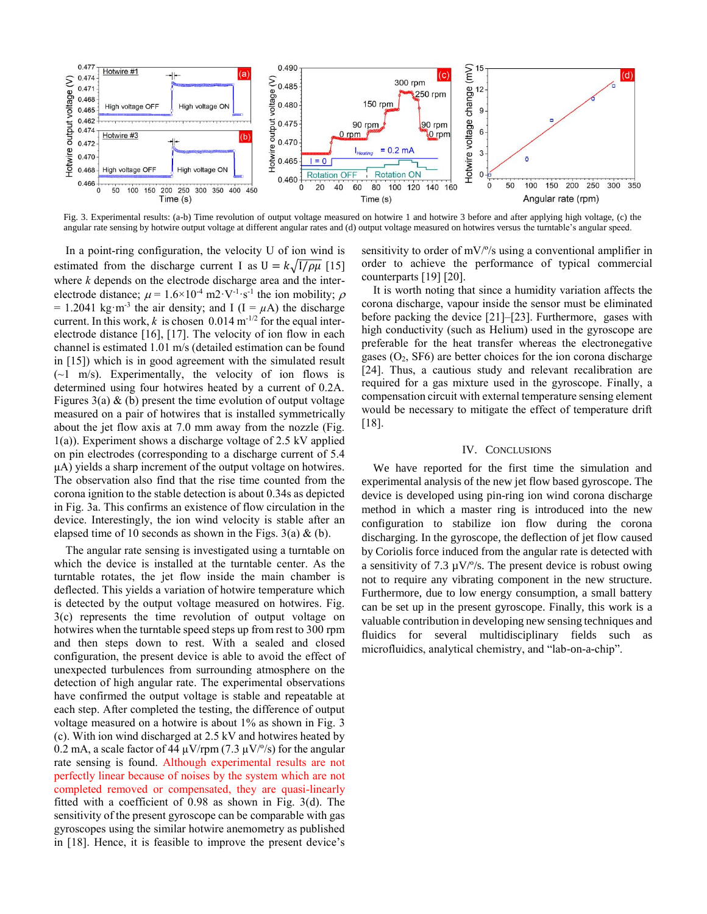

Fig. 3. Experimental results: (a-b) Time revolution of output voltage measured on hotwire 1 and hotwire 3 before and after applying high voltage, (c) the angular rate sensing by hotwire output voltage at different angular rates and (d) output voltage measured on hotwires versus the turntable's angular speed.

 In a point-ring configuration, the velocity U of ion wind is estimated from the discharge current I as  $U = k \sqrt{1/\rho \mu}$  [15] where *k* depends on the electrode discharge area and the interelectrode distance;  $\mu = 1.6 \times 10^{-4}$  m2·V<sup>-1</sup>·s<sup>-1</sup> the ion mobility;  $\rho$  $= 1.2041 \text{ kg} \cdot \text{m}^{-3}$  the air density; and I (I =  $\mu$ A) the discharge current. In this work,  $k$  is chosen 0.014 m<sup>-1/2</sup> for the equal interelectrode distance [16], [17]. The velocity of ion flow in each channel is estimated 1.01 m/s (detailed estimation can be found in [15]) which is in good agreement with the simulated result  $(-1 \text{ m/s})$ . Experimentally, the velocity of ion flows is determined using four hotwires heated by a current of 0.2A. Figures  $3(a)$  & (b) present the time evolution of output voltage measured on a pair of hotwires that is installed symmetrically about the jet flow axis at 7.0 mm away from the nozzle (Fig. 1(a)). Experiment shows a discharge voltage of 2.5 kV applied on pin electrodes (corresponding to a discharge current of 5.4 μA) yields a sharp increment of the output voltage on hotwires. The observation also find that the rise time counted from the corona ignition to the stable detection is about 0.34s as depicted in Fig. 3a. This confirms an existence of flow circulation in the device. Interestingly, the ion wind velocity is stable after an elapsed time of 10 seconds as shown in the Figs.  $3(a) \& (b)$ .

The angular rate sensing is investigated using a turntable on which the device is installed at the turntable center. As the turntable rotates, the jet flow inside the main chamber is deflected. This yields a variation of hotwire temperature which is detected by the output voltage measured on hotwires. Fig. 3(c) represents the time revolution of output voltage on hotwires when the turntable speed steps up from rest to 300 rpm and then steps down to rest. With a sealed and closed configuration, the present device is able to avoid the effect of unexpected turbulences from surrounding atmosphere on the detection of high angular rate. The experimental observations have confirmed the output voltage is stable and repeatable at each step. After completed the testing, the difference of output voltage measured on a hotwire is about 1% as shown in Fig. 3 (c). With ion wind discharged at 2.5 kV and hotwires heated by 0.2 mA, a scale factor of 44  $\mu$ V/rpm (7.3  $\mu$ V/°/s) for the angular rate sensing is found. Although experimental results are not perfectly linear because of noises by the system which are not completed removed or compensated, they are quasi-linearly fitted with a coefficient of 0.98 as shown in Fig. 3(d). The sensitivity of the present gyroscope can be comparable with gas gyroscopes using the similar hotwire anemometry as published in [18]. Hence, it is feasible to improve the present device's sensitivity to order of mV/º/s using a conventional amplifier in order to achieve the performance of typical commercial counterparts [19] [20].

It is worth noting that since a humidity variation affects the corona discharge, vapour inside the sensor must be eliminated before packing the device [21]–[23]. Furthermore, gases with high conductivity (such as Helium) used in the gyroscope are preferable for the heat transfer whereas the electronegative gases  $(O_2, SF6)$  are better choices for the ion corona discharge [24]. Thus, a cautious study and relevant recalibration are required for a gas mixture used in the gyroscope. Finally, a compensation circuit with external temperature sensing element would be necessary to mitigate the effect of temperature drift [18].

### IV. CONCLUSIONS

We have reported for the first time the simulation and experimental analysis of the new jet flow based gyroscope. The device is developed using pin-ring ion wind corona discharge method in which a master ring is introduced into the new configuration to stabilize ion flow during the corona discharging. In the gyroscope, the deflection of jet flow caused by Coriolis force induced from the angular rate is detected with a sensitivity of 7.3  $\mu$ V/ $\degree$ /s. The present device is robust owing not to require any vibrating component in the new structure. Furthermore, due to low energy consumption, a small battery can be set up in the present gyroscope. Finally, this work is a valuable contribution in developing new sensing techniques and fluidics for several multidisciplinary fields such as microfluidics, analytical chemistry, and "lab-on-a-chip".